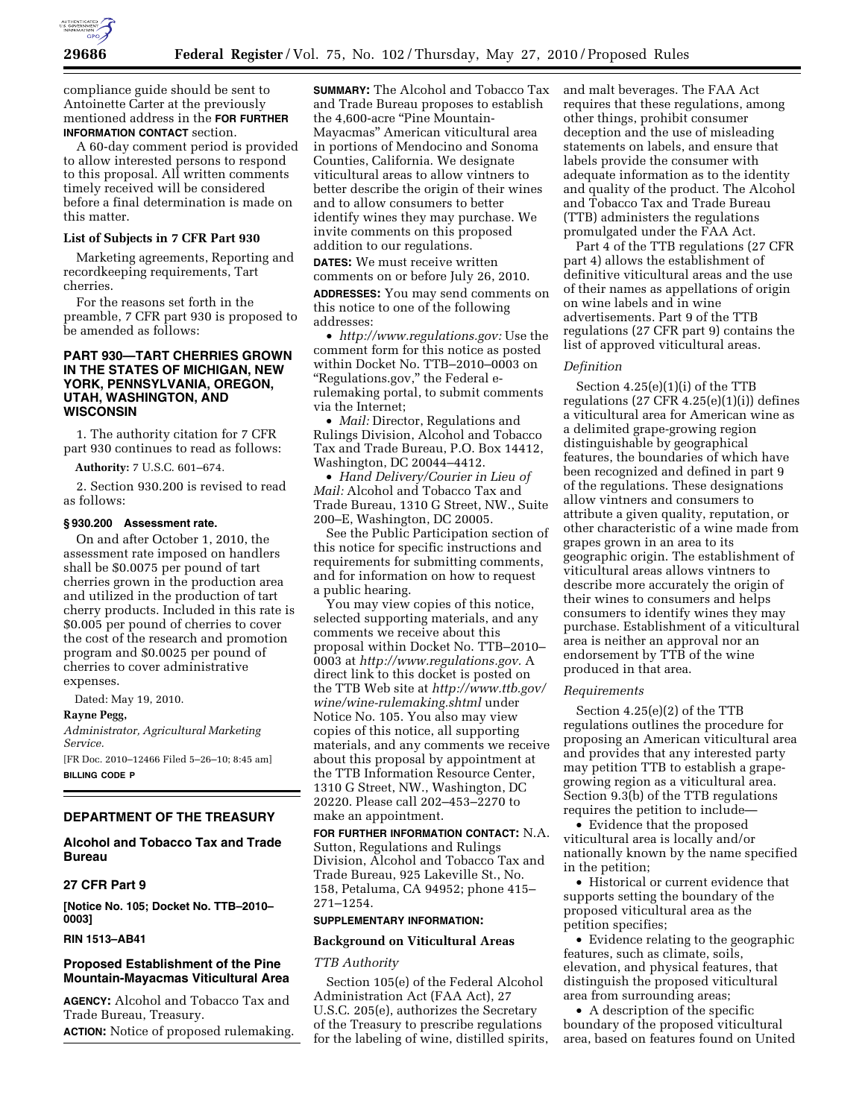

compliance guide should be sent to Antoinette Carter at the previously mentioned address in the **FOR FURTHER INFORMATION CONTACT** section.

A 60-day comment period is provided to allow interested persons to respond to this proposal. All written comments timely received will be considered before a final determination is made on this matter.

## **List of Subjects in 7 CFR Part 930**

Marketing agreements, Reporting and recordkeeping requirements, Tart cherries.

For the reasons set forth in the preamble, 7 CFR part 930 is proposed to be amended as follows:

# **PART 930—TART CHERRIES GROWN IN THE STATES OF MICHIGAN, NEW YORK, PENNSYLVANIA, OREGON, UTAH, WASHINGTON, AND WISCONSIN**

1. The authority citation for 7 CFR part 930 continues to read as follows:

**Authority:** 7 U.S.C. 601–674.

2. Section 930.200 is revised to read as follows:

#### **§ 930.200 Assessment rate.**

On and after October 1, 2010, the assessment rate imposed on handlers shall be \$0.0075 per pound of tart cherries grown in the production area and utilized in the production of tart cherry products. Included in this rate is \$0.005 per pound of cherries to cover the cost of the research and promotion program and \$0.0025 per pound of cherries to cover administrative expenses.

Dated: May 19, 2010.

**Rayne Pegg,** 

*Administrator, Agricultural Marketing Service.* 

[FR Doc. 2010–12466 Filed 5–26–10; 8:45 am] **BILLING CODE P** 

## **DEPARTMENT OF THE TREASURY**

# **Alcohol and Tobacco Tax and Trade Bureau**

# **27 CFR Part 9**

**[Notice No. 105; Docket No. TTB–2010– 0003]** 

## **RIN 1513–AB41**

# **Proposed Establishment of the Pine Mountain-Mayacmas Viticultural Area**

**AGENCY:** Alcohol and Tobacco Tax and Trade Bureau, Treasury. **ACTION:** Notice of proposed rulemaking.

**SUMMARY:** The Alcohol and Tobacco Tax and Trade Bureau proposes to establish the 4,600-acre "Pine Mountain-Mayacmas'' American viticultural area in portions of Mendocino and Sonoma Counties, California. We designate viticultural areas to allow vintners to better describe the origin of their wines and to allow consumers to better identify wines they may purchase. We invite comments on this proposed addition to our regulations.

**DATES:** We must receive written comments on or before July 26, 2010.

**ADDRESSES:** You may send comments on this notice to one of the following addresses:

• *http://www.regulations.gov:* Use the comment form for this notice as posted within Docket No. TTB–2010–0003 on ''Regulations.gov,'' the Federal erulemaking portal, to submit comments via the Internet;

• *Mail:* Director, Regulations and Rulings Division, Alcohol and Tobacco Tax and Trade Bureau, P.O. Box 14412, Washington, DC 20044–4412.

• *Hand Delivery/Courier in Lieu of Mail:* Alcohol and Tobacco Tax and Trade Bureau, 1310 G Street, NW., Suite 200–E, Washington, DC 20005.

See the Public Participation section of this notice for specific instructions and requirements for submitting comments, and for information on how to request a public hearing.

You may view copies of this notice, selected supporting materials, and any comments we receive about this proposal within Docket No. TTB–2010– 0003 at *http://www.regulations.gov.* A direct link to this docket is posted on the TTB Web site at *http://www.ttb.gov/ wine/wine-rulemaking.shtml* under Notice No. 105. You also may view copies of this notice, all supporting materials, and any comments we receive about this proposal by appointment at the TTB Information Resource Center, 1310 G Street, NW., Washington, DC 20220. Please call 202–453–2270 to make an appointment.

**FOR FURTHER INFORMATION CONTACT:** N.A. Sutton, Regulations and Rulings Division, Alcohol and Tobacco Tax and Trade Bureau, 925 Lakeville St., No. 158, Petaluma, CA 94952; phone 415– 271–1254.

## **SUPPLEMENTARY INFORMATION:**

#### **Background on Viticultural Areas**

## *TTB Authority*

Section 105(e) of the Federal Alcohol Administration Act (FAA Act), 27 U.S.C. 205(e), authorizes the Secretary of the Treasury to prescribe regulations for the labeling of wine, distilled spirits, and malt beverages. The FAA Act requires that these regulations, among other things, prohibit consumer deception and the use of misleading statements on labels, and ensure that labels provide the consumer with adequate information as to the identity and quality of the product. The Alcohol and Tobacco Tax and Trade Bureau (TTB) administers the regulations promulgated under the FAA Act.

Part 4 of the TTB regulations (27 CFR part 4) allows the establishment of definitive viticultural areas and the use of their names as appellations of origin on wine labels and in wine advertisements. Part 9 of the TTB regulations (27 CFR part 9) contains the list of approved viticultural areas.

## *Definition*

Section 4.25(e)(1)(i) of the TTB regulations  $(27 \text{ CFR } 4.25(e)(1)(i))$  defines a viticultural area for American wine as a delimited grape-growing region distinguishable by geographical features, the boundaries of which have been recognized and defined in part 9 of the regulations. These designations allow vintners and consumers to attribute a given quality, reputation, or other characteristic of a wine made from grapes grown in an area to its geographic origin. The establishment of viticultural areas allows vintners to describe more accurately the origin of their wines to consumers and helps consumers to identify wines they may purchase. Establishment of a viticultural area is neither an approval nor an endorsement by TTB of the wine produced in that area.

## *Requirements*

Section 4.25(e)(2) of the TTB regulations outlines the procedure for proposing an American viticultural area and provides that any interested party may petition TTB to establish a grapegrowing region as a viticultural area. Section 9.3(b) of the TTB regulations requires the petition to include—

• Evidence that the proposed viticultural area is locally and/or nationally known by the name specified in the petition;

• Historical or current evidence that supports setting the boundary of the proposed viticultural area as the petition specifies;

• Evidence relating to the geographic features, such as climate, soils, elevation, and physical features, that distinguish the proposed viticultural area from surrounding areas;

• A description of the specific boundary of the proposed viticultural area, based on features found on United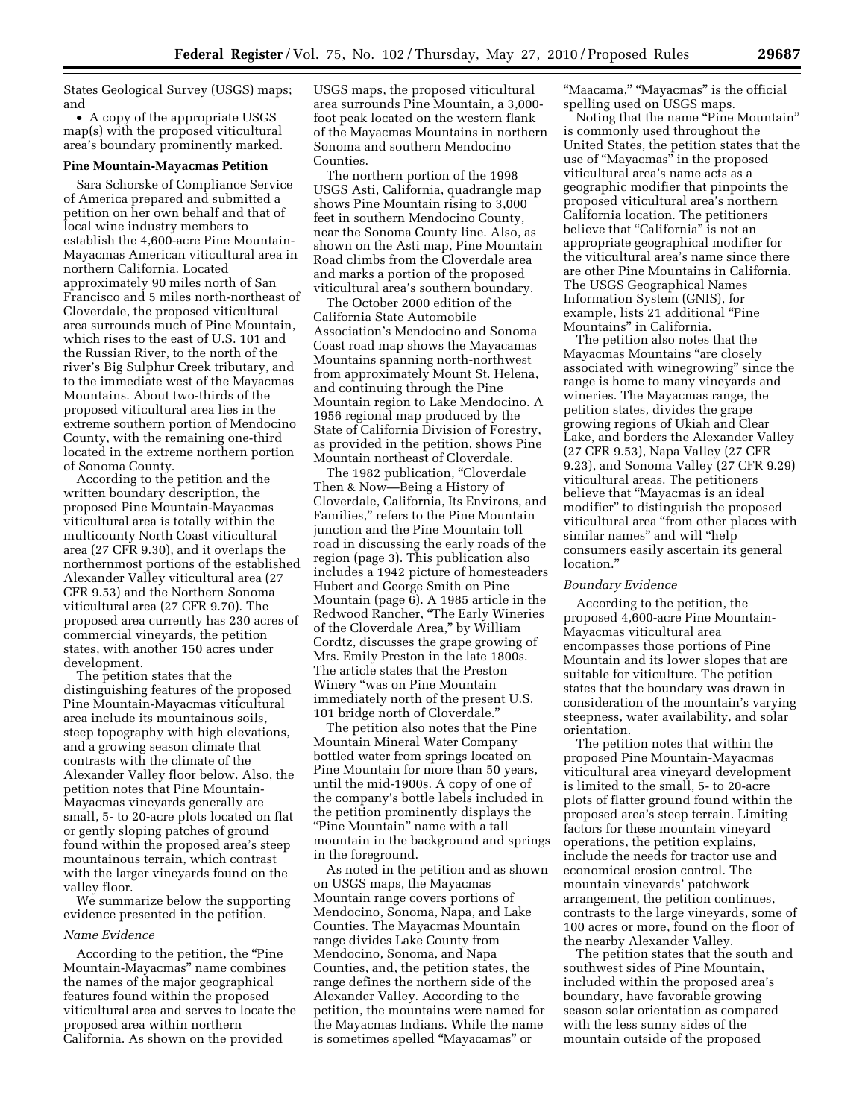States Geological Survey (USGS) maps; and

• A copy of the appropriate USGS map(s) with the proposed viticultural area's boundary prominently marked.

#### **Pine Mountain-Mayacmas Petition**

Sara Schorske of Compliance Service of America prepared and submitted a petition on her own behalf and that of local wine industry members to establish the 4,600-acre Pine Mountain-Mayacmas American viticultural area in northern California. Located approximately 90 miles north of San Francisco and 5 miles north-northeast of Cloverdale, the proposed viticultural area surrounds much of Pine Mountain, which rises to the east of U.S. 101 and the Russian River, to the north of the river's Big Sulphur Creek tributary, and to the immediate west of the Mayacmas Mountains. About two-thirds of the proposed viticultural area lies in the extreme southern portion of Mendocino County, with the remaining one-third located in the extreme northern portion of Sonoma County.

According to the petition and the written boundary description, the proposed Pine Mountain-Mayacmas viticultural area is totally within the multicounty North Coast viticultural area (27 CFR 9.30), and it overlaps the northernmost portions of the established Alexander Valley viticultural area (27 CFR 9.53) and the Northern Sonoma viticultural area (27 CFR 9.70). The proposed area currently has 230 acres of commercial vineyards, the petition states, with another 150 acres under development.

The petition states that the distinguishing features of the proposed Pine Mountain-Mayacmas viticultural area include its mountainous soils, steep topography with high elevations, and a growing season climate that contrasts with the climate of the Alexander Valley floor below. Also, the petition notes that Pine Mountain-Mayacmas vineyards generally are small, 5- to 20-acre plots located on flat or gently sloping patches of ground found within the proposed area's steep mountainous terrain, which contrast with the larger vineyards found on the valley floor.

We summarize below the supporting evidence presented in the petition.

# *Name Evidence*

According to the petition, the ''Pine Mountain-Mayacmas'' name combines the names of the major geographical features found within the proposed viticultural area and serves to locate the proposed area within northern California. As shown on the provided

USGS maps, the proposed viticultural area surrounds Pine Mountain, a 3,000 foot peak located on the western flank of the Mayacmas Mountains in northern Sonoma and southern Mendocino Counties.

The northern portion of the 1998 USGS Asti, California, quadrangle map shows Pine Mountain rising to 3,000 feet in southern Mendocino County, near the Sonoma County line. Also, as shown on the Asti map, Pine Mountain Road climbs from the Cloverdale area and marks a portion of the proposed viticultural area's southern boundary.

The October 2000 edition of the California State Automobile Association's Mendocino and Sonoma Coast road map shows the Mayacamas Mountains spanning north-northwest from approximately Mount St. Helena, and continuing through the Pine Mountain region to Lake Mendocino. A 1956 regional map produced by the State of California Division of Forestry, as provided in the petition, shows Pine Mountain northeast of Cloverdale.

The 1982 publication, "Cloverdale Then & Now—Being a History of Cloverdale, California, Its Environs, and Families," refers to the Pine Mountain junction and the Pine Mountain toll road in discussing the early roads of the region (page 3). This publication also includes a 1942 picture of homesteaders Hubert and George Smith on Pine Mountain (page 6). A 1985 article in the Redwood Rancher, ''The Early Wineries of the Cloverdale Area,'' by William Cordtz, discusses the grape growing of Mrs. Emily Preston in the late 1800s. The article states that the Preston Winery ''was on Pine Mountain immediately north of the present U.S. 101 bridge north of Cloverdale.''

The petition also notes that the Pine Mountain Mineral Water Company bottled water from springs located on Pine Mountain for more than 50 years, until the mid-1900s. A copy of one of the company's bottle labels included in the petition prominently displays the ''Pine Mountain'' name with a tall mountain in the background and springs in the foreground.

As noted in the petition and as shown on USGS maps, the Mayacmas Mountain range covers portions of Mendocino, Sonoma, Napa, and Lake Counties. The Mayacmas Mountain range divides Lake County from Mendocino, Sonoma, and Napa Counties, and, the petition states, the range defines the northern side of the Alexander Valley. According to the petition, the mountains were named for the Mayacmas Indians. While the name is sometimes spelled ''Mayacamas'' or

''Maacama,'' ''Mayacmas'' is the official spelling used on USGS maps.

Noting that the name ''Pine Mountain'' is commonly used throughout the United States, the petition states that the use of ''Mayacmas'' in the proposed viticultural area's name acts as a geographic modifier that pinpoints the proposed viticultural area's northern California location. The petitioners believe that "California" is not an appropriate geographical modifier for the viticultural area's name since there are other Pine Mountains in California. The USGS Geographical Names Information System (GNIS), for example, lists 21 additional ''Pine Mountains'' in California.

The petition also notes that the Mayacmas Mountains ''are closely associated with winegrowing'' since the range is home to many vineyards and wineries. The Mayacmas range, the petition states, divides the grape growing regions of Ukiah and Clear Lake, and borders the Alexander Valley (27 CFR 9.53), Napa Valley (27 CFR 9.23), and Sonoma Valley (27 CFR 9.29) viticultural areas. The petitioners believe that ''Mayacmas is an ideal modifier'' to distinguish the proposed viticultural area "from other places with similar names'' and will ''help consumers easily ascertain its general location.''

#### *Boundary Evidence*

According to the petition, the proposed 4,600-acre Pine Mountain-Mayacmas viticultural area encompasses those portions of Pine Mountain and its lower slopes that are suitable for viticulture. The petition states that the boundary was drawn in consideration of the mountain's varying steepness, water availability, and solar orientation.

The petition notes that within the proposed Pine Mountain-Mayacmas viticultural area vineyard development is limited to the small, 5- to 20-acre plots of flatter ground found within the proposed area's steep terrain. Limiting factors for these mountain vineyard operations, the petition explains, include the needs for tractor use and economical erosion control. The mountain vineyards' patchwork arrangement, the petition continues, contrasts to the large vineyards, some of 100 acres or more, found on the floor of the nearby Alexander Valley.

The petition states that the south and southwest sides of Pine Mountain, included within the proposed area's boundary, have favorable growing season solar orientation as compared with the less sunny sides of the mountain outside of the proposed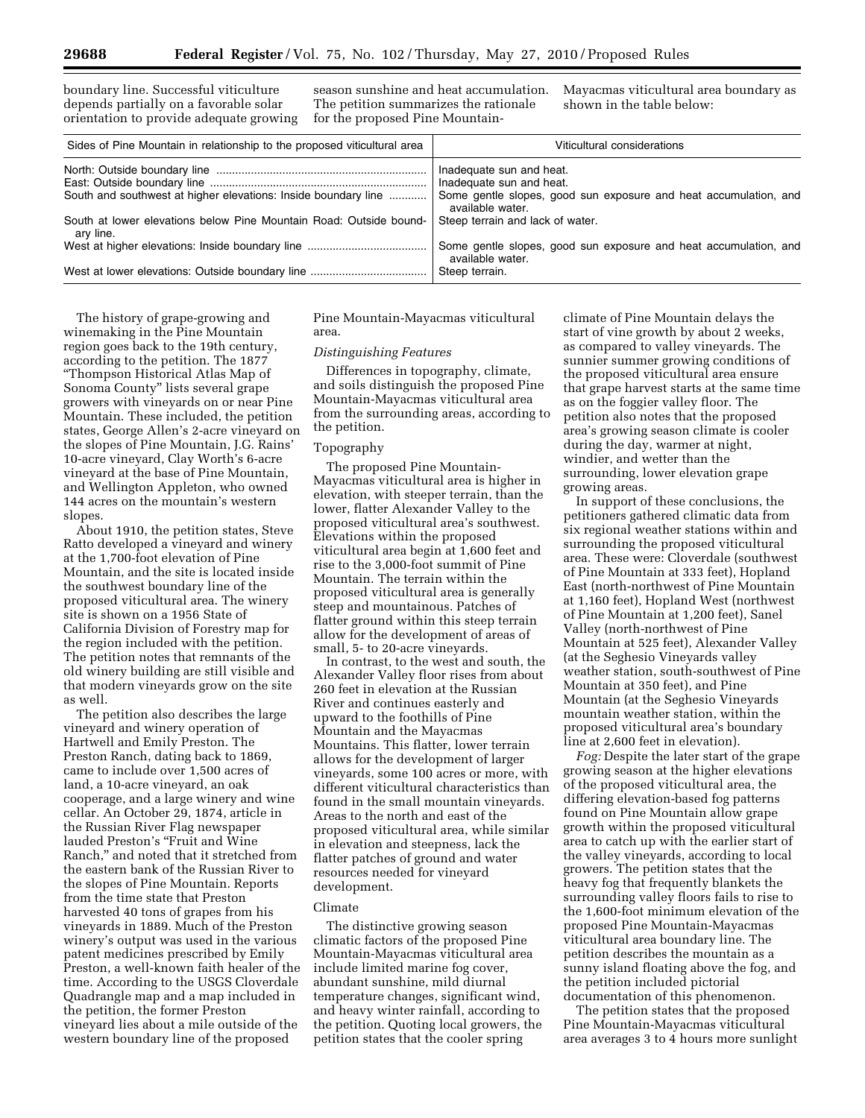boundary line. Successful viticulture depends partially on a favorable solar orientation to provide adequate growing season sunshine and heat accumulation. The petition summarizes the rationale for the proposed Pine MountainMayacmas viticultural area boundary as shown in the table below:

| Sides of Pine Mountain in relationship to the proposed viticultural area        | Viticultural considerations                                                          |  |
|---------------------------------------------------------------------------------|--------------------------------------------------------------------------------------|--|
|                                                                                 | Inadequate sun and heat.<br>Inadequate sun and heat.                                 |  |
| South and southwest at higher elevations: Inside boundary line                  | Some gentle slopes, good sun exposure and heat accumulation, and<br>available water. |  |
| South at lower elevations below Pine Mountain Road: Outside bound-<br>ary line. | Steep terrain and lack of water.                                                     |  |
|                                                                                 | Some gentle slopes, good sun exposure and heat accumulation, and<br>available water. |  |
|                                                                                 | Steep terrain.                                                                       |  |

The history of grape-growing and winemaking in the Pine Mountain region goes back to the 19th century, according to the petition. The 1877 ''Thompson Historical Atlas Map of Sonoma County'' lists several grape growers with vineyards on or near Pine Mountain. These included, the petition states, George Allen's 2-acre vineyard on the slopes of Pine Mountain, J.G. Rains' 10-acre vineyard, Clay Worth's 6-acre vineyard at the base of Pine Mountain, and Wellington Appleton, who owned 144 acres on the mountain's western slopes.

About 1910, the petition states, Steve Ratto developed a vineyard and winery at the 1,700-foot elevation of Pine Mountain, and the site is located inside the southwest boundary line of the proposed viticultural area. The winery site is shown on a 1956 State of California Division of Forestry map for the region included with the petition. The petition notes that remnants of the old winery building are still visible and that modern vineyards grow on the site as well.

The petition also describes the large vineyard and winery operation of Hartwell and Emily Preston. The Preston Ranch, dating back to 1869, came to include over 1,500 acres of land, a 10-acre vineyard, an oak cooperage, and a large winery and wine cellar. An October 29, 1874, article in the Russian River Flag newspaper lauded Preston's ''Fruit and Wine Ranch,'' and noted that it stretched from the eastern bank of the Russian River to the slopes of Pine Mountain. Reports from the time state that Preston harvested 40 tons of grapes from his vineyards in 1889. Much of the Preston winery's output was used in the various patent medicines prescribed by Emily Preston, a well-known faith healer of the time. According to the USGS Cloverdale Quadrangle map and a map included in the petition, the former Preston vineyard lies about a mile outside of the western boundary line of the proposed

Pine Mountain-Mayacmas viticultural area.

#### *Distinguishing Features*

Differences in topography, climate, and soils distinguish the proposed Pine Mountain-Mayacmas viticultural area from the surrounding areas, according to the petition.

#### Topography

The proposed Pine Mountain-Mayacmas viticultural area is higher in elevation, with steeper terrain, than the lower, flatter Alexander Valley to the proposed viticultural area's southwest. Elevations within the proposed viticultural area begin at 1,600 feet and rise to the 3,000-foot summit of Pine Mountain. The terrain within the proposed viticultural area is generally steep and mountainous. Patches of flatter ground within this steep terrain allow for the development of areas of small, 5- to 20-acre vineyards.

In contrast, to the west and south, the Alexander Valley floor rises from about 260 feet in elevation at the Russian River and continues easterly and upward to the foothills of Pine Mountain and the Mayacmas Mountains. This flatter, lower terrain allows for the development of larger vineyards, some 100 acres or more, with different viticultural characteristics than found in the small mountain vineyards. Areas to the north and east of the proposed viticultural area, while similar in elevation and steepness, lack the flatter patches of ground and water resources needed for vineyard development.

## Climate

The distinctive growing season climatic factors of the proposed Pine Mountain-Mayacmas viticultural area include limited marine fog cover, abundant sunshine, mild diurnal temperature changes, significant wind, and heavy winter rainfall, according to the petition. Quoting local growers, the petition states that the cooler spring

climate of Pine Mountain delays the start of vine growth by about 2 weeks, as compared to valley vineyards. The sunnier summer growing conditions of the proposed viticultural area ensure that grape harvest starts at the same time as on the foggier valley floor. The petition also notes that the proposed area's growing season climate is cooler during the day, warmer at night, windier, and wetter than the surrounding, lower elevation grape growing areas.

In support of these conclusions, the petitioners gathered climatic data from six regional weather stations within and surrounding the proposed viticultural area. These were: Cloverdale (southwest of Pine Mountain at 333 feet), Hopland East (north-northwest of Pine Mountain at 1,160 feet), Hopland West (northwest of Pine Mountain at 1,200 feet), Sanel Valley (north-northwest of Pine Mountain at 525 feet), Alexander Valley (at the Seghesio Vineyards valley weather station, south-southwest of Pine Mountain at 350 feet), and Pine Mountain (at the Seghesio Vineyards mountain weather station, within the proposed viticultural area's boundary line at 2,600 feet in elevation).

*Fog:* Despite the later start of the grape growing season at the higher elevations of the proposed viticultural area, the differing elevation-based fog patterns found on Pine Mountain allow grape growth within the proposed viticultural area to catch up with the earlier start of the valley vineyards, according to local growers. The petition states that the heavy fog that frequently blankets the surrounding valley floors fails to rise to the 1,600-foot minimum elevation of the proposed Pine Mountain-Mayacmas viticultural area boundary line. The petition describes the mountain as a sunny island floating above the fog, and the petition included pictorial documentation of this phenomenon.

The petition states that the proposed Pine Mountain-Mayacmas viticultural area averages 3 to 4 hours more sunlight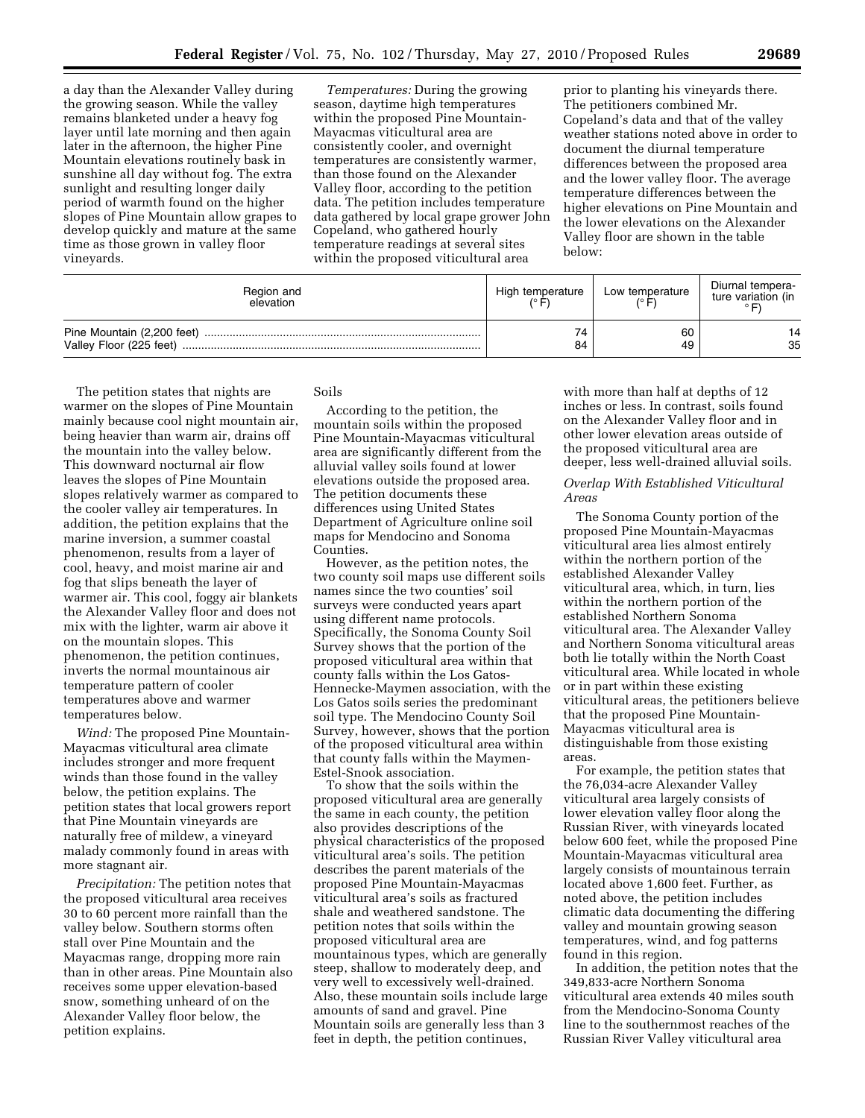a day than the Alexander Valley during the growing season. While the valley remains blanketed under a heavy fog layer until late morning and then again later in the afternoon, the higher Pine Mountain elevations routinely bask in sunshine all day without fog. The extra sunlight and resulting longer daily period of warmth found on the higher slopes of Pine Mountain allow grapes to develop quickly and mature at the same time as those grown in valley floor vineyards.

*Temperatures:* During the growing season, daytime high temperatures within the proposed Pine Mountain-Mayacmas viticultural area are consistently cooler, and overnight temperatures are consistently warmer, than those found on the Alexander Valley floor, according to the petition data. The petition includes temperature data gathered by local grape grower John Copeland, who gathered hourly temperature readings at several sites within the proposed viticultural area

prior to planting his vineyards there. The petitioners combined Mr. Copeland's data and that of the valley weather stations noted above in order to document the diurnal temperature differences between the proposed area and the lower valley floor. The average temperature differences between the higher elevations on Pine Mountain and the lower elevations on the Alexander Valley floor are shown in the table below:

| Region and<br>elevation                               | High temperature | Low temperature | Diurnal tempera-<br>ture variation (in |
|-------------------------------------------------------|------------------|-----------------|----------------------------------------|
| Pine Mountain (2,200 feet)<br>Valley Floor (225 feet) | 74<br>84         | 60<br>49        | 14<br>35                               |

The petition states that nights are warmer on the slopes of Pine Mountain mainly because cool night mountain air, being heavier than warm air, drains off the mountain into the valley below. This downward nocturnal air flow leaves the slopes of Pine Mountain slopes relatively warmer as compared to the cooler valley air temperatures. In addition, the petition explains that the marine inversion, a summer coastal phenomenon, results from a layer of cool, heavy, and moist marine air and fog that slips beneath the layer of warmer air. This cool, foggy air blankets the Alexander Valley floor and does not mix with the lighter, warm air above it on the mountain slopes. This phenomenon, the petition continues, inverts the normal mountainous air temperature pattern of cooler temperatures above and warmer temperatures below.

*Wind:* The proposed Pine Mountain-Mayacmas viticultural area climate includes stronger and more frequent winds than those found in the valley below, the petition explains. The petition states that local growers report that Pine Mountain vineyards are naturally free of mildew, a vineyard malady commonly found in areas with more stagnant air.

*Precipitation:* The petition notes that the proposed viticultural area receives 30 to 60 percent more rainfall than the valley below. Southern storms often stall over Pine Mountain and the Mayacmas range, dropping more rain than in other areas. Pine Mountain also receives some upper elevation-based snow, something unheard of on the Alexander Valley floor below, the petition explains.

Soils

According to the petition, the mountain soils within the proposed Pine Mountain-Mayacmas viticultural area are significantly different from the alluvial valley soils found at lower elevations outside the proposed area. The petition documents these differences using United States Department of Agriculture online soil maps for Mendocino and Sonoma Counties.

However, as the petition notes, the two county soil maps use different soils names since the two counties' soil surveys were conducted years apart using different name protocols. Specifically, the Sonoma County Soil Survey shows that the portion of the proposed viticultural area within that county falls within the Los Gatos-Hennecke-Maymen association, with the Los Gatos soils series the predominant soil type. The Mendocino County Soil Survey, however, shows that the portion of the proposed viticultural area within that county falls within the Maymen-Estel-Snook association.

To show that the soils within the proposed viticultural area are generally the same in each county, the petition also provides descriptions of the physical characteristics of the proposed viticultural area's soils. The petition describes the parent materials of the proposed Pine Mountain-Mayacmas viticultural area's soils as fractured shale and weathered sandstone. The petition notes that soils within the proposed viticultural area are mountainous types, which are generally steep, shallow to moderately deep, and very well to excessively well-drained. Also, these mountain soils include large amounts of sand and gravel. Pine Mountain soils are generally less than 3 feet in depth, the petition continues,

with more than half at depths of 12 inches or less. In contrast, soils found on the Alexander Valley floor and in other lower elevation areas outside of the proposed viticultural area are deeper, less well-drained alluvial soils.

# *Overlap With Established Viticultural Areas*

The Sonoma County portion of the proposed Pine Mountain-Mayacmas viticultural area lies almost entirely within the northern portion of the established Alexander Valley viticultural area, which, in turn, lies within the northern portion of the established Northern Sonoma viticultural area. The Alexander Valley and Northern Sonoma viticultural areas both lie totally within the North Coast viticultural area. While located in whole or in part within these existing viticultural areas, the petitioners believe that the proposed Pine Mountain-Mayacmas viticultural area is distinguishable from those existing areas.

For example, the petition states that the 76,034-acre Alexander Valley viticultural area largely consists of lower elevation valley floor along the Russian River, with vineyards located below 600 feet, while the proposed Pine Mountain-Mayacmas viticultural area largely consists of mountainous terrain located above 1,600 feet. Further, as noted above, the petition includes climatic data documenting the differing valley and mountain growing season temperatures, wind, and fog patterns found in this region.

In addition, the petition notes that the 349,833-acre Northern Sonoma viticultural area extends 40 miles south from the Mendocino-Sonoma County line to the southernmost reaches of the Russian River Valley viticultural area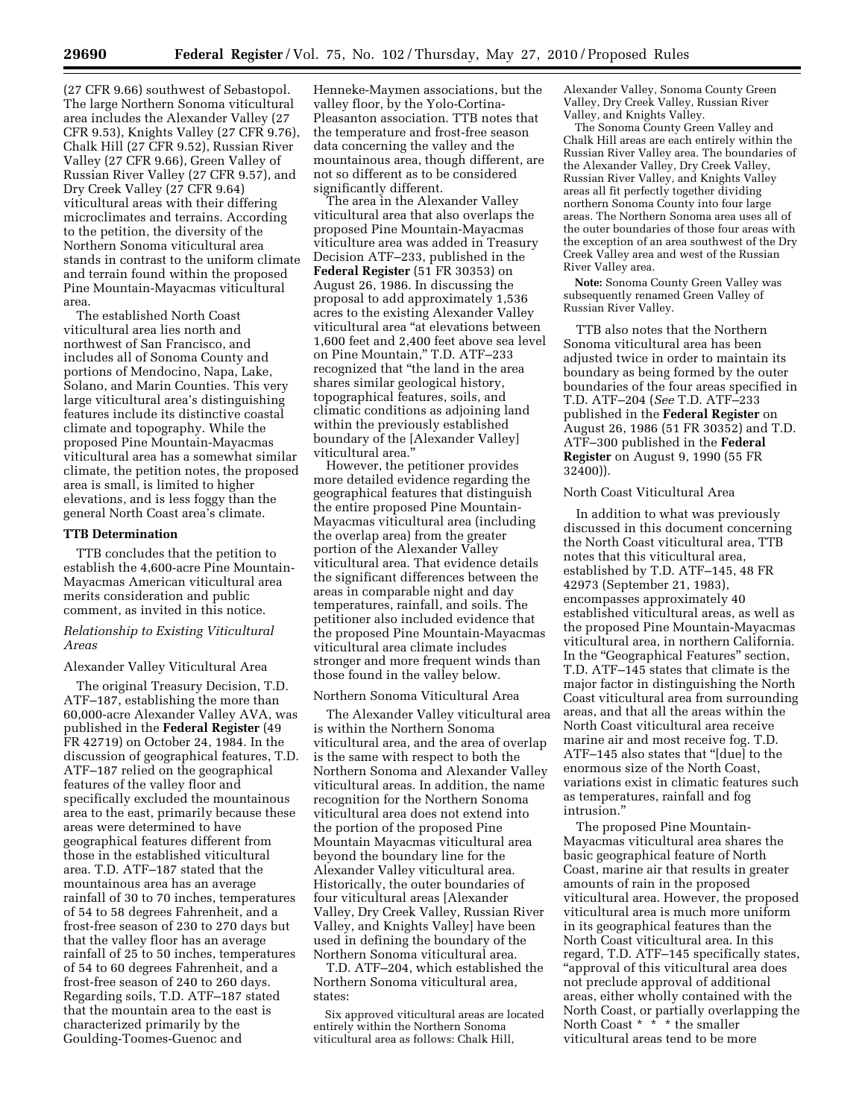(27 CFR 9.66) southwest of Sebastopol. The large Northern Sonoma viticultural area includes the Alexander Valley (27 CFR 9.53), Knights Valley (27 CFR 9.76), Chalk Hill (27 CFR 9.52), Russian River Valley (27 CFR 9.66), Green Valley of Russian River Valley (27 CFR 9.57), and Dry Creek Valley (27 CFR 9.64) viticultural areas with their differing microclimates and terrains. According to the petition, the diversity of the Northern Sonoma viticultural area stands in contrast to the uniform climate and terrain found within the proposed Pine Mountain-Mayacmas viticultural area.

The established North Coast viticultural area lies north and northwest of San Francisco, and includes all of Sonoma County and portions of Mendocino, Napa, Lake, Solano, and Marin Counties. This very large viticultural area's distinguishing features include its distinctive coastal climate and topography. While the proposed Pine Mountain-Mayacmas viticultural area has a somewhat similar climate, the petition notes, the proposed area is small, is limited to higher elevations, and is less foggy than the general North Coast area's climate.

#### **TTB Determination**

TTB concludes that the petition to establish the 4,600-acre Pine Mountain-Mayacmas American viticultural area merits consideration and public comment, as invited in this notice.

## *Relationship to Existing Viticultural Areas*

## Alexander Valley Viticultural Area

The original Treasury Decision, T.D. ATF–187, establishing the more than 60,000-acre Alexander Valley AVA, was published in the **Federal Register** (49 FR 42719) on October 24, 1984. In the discussion of geographical features, T.D. ATF–187 relied on the geographical features of the valley floor and specifically excluded the mountainous area to the east, primarily because these areas were determined to have geographical features different from those in the established viticultural area. T.D. ATF–187 stated that the mountainous area has an average rainfall of 30 to 70 inches, temperatures of 54 to 58 degrees Fahrenheit, and a frost-free season of 230 to 270 days but that the valley floor has an average rainfall of 25 to 50 inches, temperatures of 54 to 60 degrees Fahrenheit, and a frost-free season of 240 to 260 days. Regarding soils, T.D. ATF–187 stated that the mountain area to the east is characterized primarily by the Goulding-Toomes-Guenoc and

Henneke-Maymen associations, but the valley floor, by the Yolo-Cortina-Pleasanton association. TTB notes that the temperature and frost-free season data concerning the valley and the mountainous area, though different, are not so different as to be considered significantly different.

The area in the Alexander Valley viticultural area that also overlaps the proposed Pine Mountain-Mayacmas viticulture area was added in Treasury Decision ATF–233, published in the **Federal Register** (51 FR 30353) on August 26, 1986. In discussing the proposal to add approximately 1,536 acres to the existing Alexander Valley viticultural area ''at elevations between 1,600 feet and 2,400 feet above sea level on Pine Mountain,'' T.D. ATF–233 recognized that ''the land in the area shares similar geological history, topographical features, soils, and climatic conditions as adjoining land within the previously established boundary of the [Alexander Valley] viticultural area.''

However, the petitioner provides more detailed evidence regarding the geographical features that distinguish the entire proposed Pine Mountain-Mayacmas viticultural area (including the overlap area) from the greater portion of the Alexander Valley viticultural area. That evidence details the significant differences between the areas in comparable night and day temperatures, rainfall, and soils. The petitioner also included evidence that the proposed Pine Mountain-Mayacmas viticultural area climate includes stronger and more frequent winds than those found in the valley below.

# Northern Sonoma Viticultural Area

The Alexander Valley viticultural area is within the Northern Sonoma viticultural area, and the area of overlap is the same with respect to both the Northern Sonoma and Alexander Valley viticultural areas. In addition, the name recognition for the Northern Sonoma viticultural area does not extend into the portion of the proposed Pine Mountain Mayacmas viticultural area beyond the boundary line for the Alexander Valley viticultural area. Historically, the outer boundaries of four viticultural areas [Alexander Valley, Dry Creek Valley, Russian River Valley, and Knights Valley] have been used in defining the boundary of the Northern Sonoma viticultural area.

T.D. ATF–204, which established the Northern Sonoma viticultural area, states:

Six approved viticultural areas are located entirely within the Northern Sonoma viticultural area as follows: Chalk Hill,

Alexander Valley, Sonoma County Green Valley, Dry Creek Valley, Russian River Valley, and Knights Valley.

The Sonoma County Green Valley and Chalk Hill areas are each entirely within the Russian River Valley area. The boundaries of the Alexander Valley, Dry Creek Valley, Russian River Valley, and Knights Valley areas all fit perfectly together dividing northern Sonoma County into four large areas. The Northern Sonoma area uses all of the outer boundaries of those four areas with the exception of an area southwest of the Dry Creek Valley area and west of the Russian River Valley area.

**Note:** Sonoma County Green Valley was subsequently renamed Green Valley of Russian River Valley.

TTB also notes that the Northern Sonoma viticultural area has been adjusted twice in order to maintain its boundary as being formed by the outer boundaries of the four areas specified in T.D. ATF–204 (*See* T.D. ATF–233 published in the **Federal Register** on August 26, 1986 (51 FR 30352) and T.D. ATF–300 published in the **Federal Register** on August 9, 1990 (55 FR 32400)).

#### North Coast Viticultural Area

In addition to what was previously discussed in this document concerning the North Coast viticultural area, TTB notes that this viticultural area, established by T.D. ATF–145, 48 FR 42973 (September 21, 1983), encompasses approximately 40 established viticultural areas, as well as the proposed Pine Mountain-Mayacmas viticultural area, in northern California. In the "Geographical Features" section, T.D. ATF–145 states that climate is the major factor in distinguishing the North Coast viticultural area from surrounding areas, and that all the areas within the North Coast viticultural area receive marine air and most receive fog. T.D. ATF–145 also states that ''[due] to the enormous size of the North Coast, variations exist in climatic features such as temperatures, rainfall and fog intrusion.''

The proposed Pine Mountain-Mayacmas viticultural area shares the basic geographical feature of North Coast, marine air that results in greater amounts of rain in the proposed viticultural area. However, the proposed viticultural area is much more uniform in its geographical features than the North Coast viticultural area. In this regard, T.D. ATF–145 specifically states, ''approval of this viticultural area does not preclude approval of additional areas, either wholly contained with the North Coast, or partially overlapping the North Coast \* \* \* the smaller viticultural areas tend to be more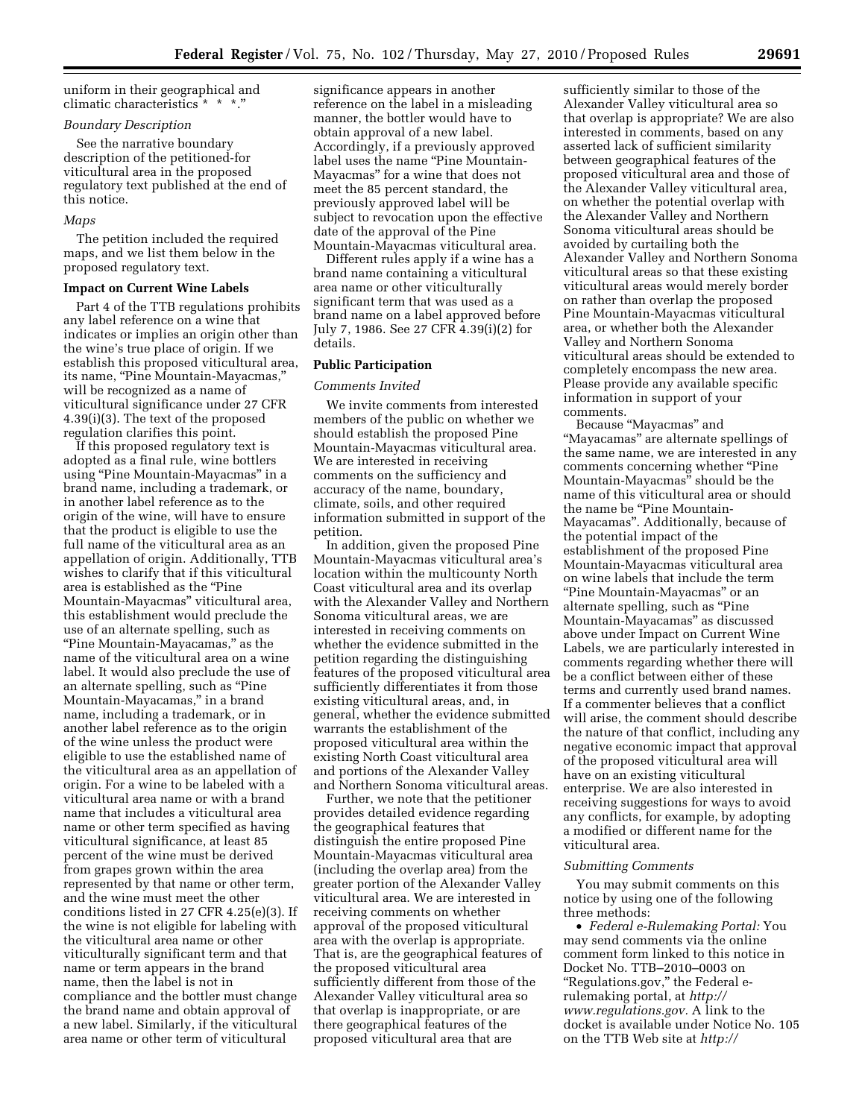uniform in their geographical and climatic characteristics \* \* \*.''

## *Boundary Description*

See the narrative boundary description of the petitioned-for viticultural area in the proposed regulatory text published at the end of this notice.

#### *Maps*

The petition included the required maps, and we list them below in the proposed regulatory text.

## **Impact on Current Wine Labels**

Part 4 of the TTB regulations prohibits any label reference on a wine that indicates or implies an origin other than the wine's true place of origin. If we establish this proposed viticultural area, its name, "Pine Mountain-Mayacmas," will be recognized as a name of viticultural significance under 27 CFR 4.39(i)(3). The text of the proposed regulation clarifies this point.

If this proposed regulatory text is adopted as a final rule, wine bottlers using "Pine Mountain-Mayacmas" in a brand name, including a trademark, or in another label reference as to the origin of the wine, will have to ensure that the product is eligible to use the full name of the viticultural area as an appellation of origin. Additionally, TTB wishes to clarify that if this viticultural area is established as the "Pine Mountain-Mayacmas'' viticultural area, this establishment would preclude the use of an alternate spelling, such as ''Pine Mountain-Mayacamas,'' as the name of the viticultural area on a wine label. It would also preclude the use of an alternate spelling, such as "Pine Mountain-Mayacamas,'' in a brand name, including a trademark, or in another label reference as to the origin of the wine unless the product were eligible to use the established name of the viticultural area as an appellation of origin. For a wine to be labeled with a viticultural area name or with a brand name that includes a viticultural area name or other term specified as having viticultural significance, at least 85 percent of the wine must be derived from grapes grown within the area represented by that name or other term, and the wine must meet the other conditions listed in 27 CFR 4.25(e)(3). If the wine is not eligible for labeling with the viticultural area name or other viticulturally significant term and that name or term appears in the brand name, then the label is not in compliance and the bottler must change the brand name and obtain approval of a new label. Similarly, if the viticultural area name or other term of viticultural

significance appears in another reference on the label in a misleading manner, the bottler would have to obtain approval of a new label. Accordingly, if a previously approved label uses the name "Pine Mountain-Mayacmas'' for a wine that does not meet the 85 percent standard, the previously approved label will be subject to revocation upon the effective date of the approval of the Pine Mountain-Mayacmas viticultural area.

Different rules apply if a wine has a brand name containing a viticultural area name or other viticulturally significant term that was used as a brand name on a label approved before July 7, 1986. See 27 CFR 4.39(i)(2) for details.

## **Public Participation**

## *Comments Invited*

We invite comments from interested members of the public on whether we should establish the proposed Pine Mountain-Mayacmas viticultural area. We are interested in receiving comments on the sufficiency and accuracy of the name, boundary, climate, soils, and other required information submitted in support of the petition.

In addition, given the proposed Pine Mountain-Mayacmas viticultural area's location within the multicounty North Coast viticultural area and its overlap with the Alexander Valley and Northern Sonoma viticultural areas, we are interested in receiving comments on whether the evidence submitted in the petition regarding the distinguishing features of the proposed viticultural area sufficiently differentiates it from those existing viticultural areas, and, in general, whether the evidence submitted warrants the establishment of the proposed viticultural area within the existing North Coast viticultural area and portions of the Alexander Valley and Northern Sonoma viticultural areas.

Further, we note that the petitioner provides detailed evidence regarding the geographical features that distinguish the entire proposed Pine Mountain-Mayacmas viticultural area (including the overlap area) from the greater portion of the Alexander Valley viticultural area. We are interested in receiving comments on whether approval of the proposed viticultural area with the overlap is appropriate. That is, are the geographical features of the proposed viticultural area sufficiently different from those of the Alexander Valley viticultural area so that overlap is inappropriate, or are there geographical features of the proposed viticultural area that are

sufficiently similar to those of the Alexander Valley viticultural area so that overlap is appropriate? We are also interested in comments, based on any asserted lack of sufficient similarity between geographical features of the proposed viticultural area and those of the Alexander Valley viticultural area, on whether the potential overlap with the Alexander Valley and Northern Sonoma viticultural areas should be avoided by curtailing both the Alexander Valley and Northern Sonoma viticultural areas so that these existing viticultural areas would merely border on rather than overlap the proposed Pine Mountain-Mayacmas viticultural area, or whether both the Alexander Valley and Northern Sonoma viticultural areas should be extended to completely encompass the new area. Please provide any available specific information in support of your comments.

Because ''Mayacmas'' and ''Mayacamas'' are alternate spellings of the same name, we are interested in any comments concerning whether ''Pine Mountain-Mayacmas'' should be the name of this viticultural area or should the name be "Pine Mountain-Mayacamas''. Additionally, because of the potential impact of the establishment of the proposed Pine Mountain-Mayacmas viticultural area on wine labels that include the term ''Pine Mountain-Mayacmas'' or an alternate spelling, such as "Pine Mountain-Mayacamas'' as discussed above under Impact on Current Wine Labels, we are particularly interested in comments regarding whether there will be a conflict between either of these terms and currently used brand names. If a commenter believes that a conflict will arise, the comment should describe the nature of that conflict, including any negative economic impact that approval of the proposed viticultural area will have on an existing viticultural enterprise. We are also interested in receiving suggestions for ways to avoid any conflicts, for example, by adopting a modified or different name for the viticultural area.

#### *Submitting Comments*

You may submit comments on this notice by using one of the following three methods:

• *Federal e-Rulemaking Portal:* You may send comments via the online comment form linked to this notice in Docket No. TTB–2010–0003 on ''Regulations.gov,'' the Federal erulemaking portal, at *http:// www.regulations.gov.* A link to the docket is available under Notice No. 105 on the TTB Web site at *http://*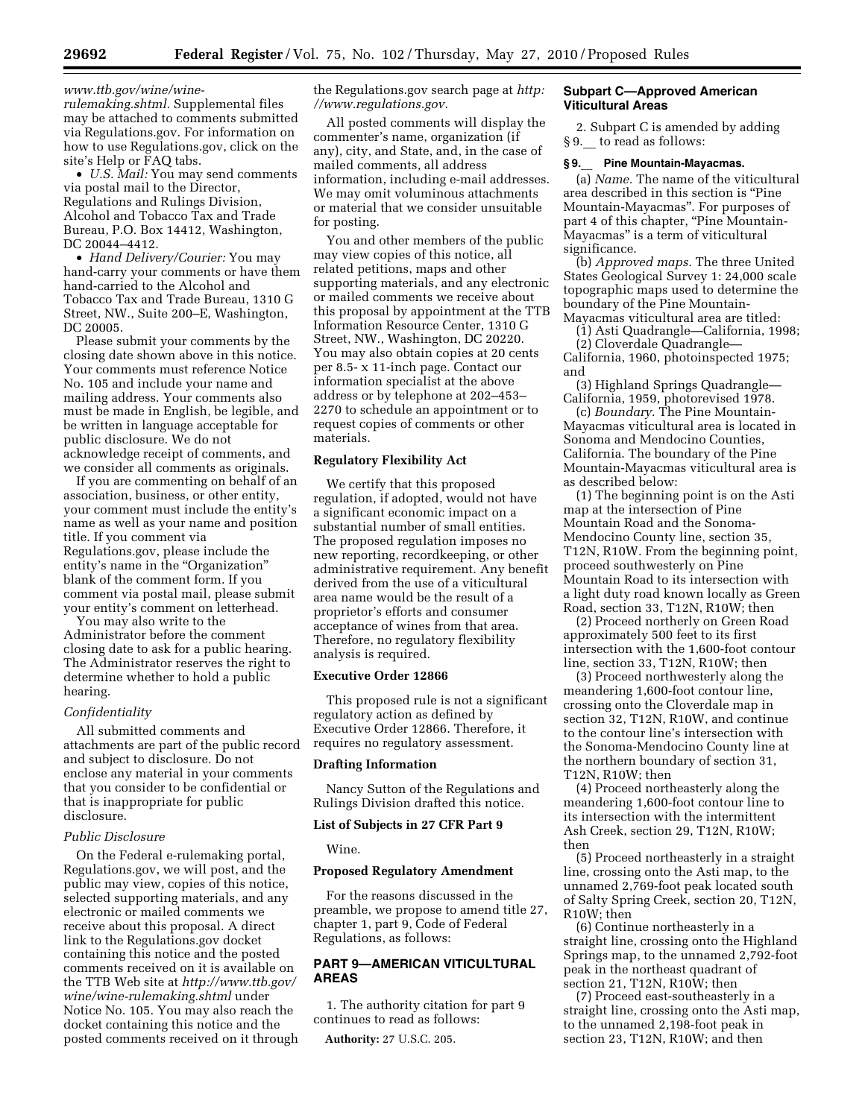*www.ttb.gov/wine/wine-*

*rulemaking.shtml.* Supplemental files may be attached to comments submitted via Regulations.gov. For information on how to use Regulations.gov, click on the site's Help or FAQ tabs.

• *U.S. Mail:* You may send comments via postal mail to the Director, Regulations and Rulings Division, Alcohol and Tobacco Tax and Trade Bureau, P.O. Box 14412, Washington, DC 20044–4412.

• *Hand Delivery/Courier:* You may hand-carry your comments or have them hand-carried to the Alcohol and Tobacco Tax and Trade Bureau, 1310 G Street, NW., Suite 200–E, Washington, DC 20005.

Please submit your comments by the closing date shown above in this notice. Your comments must reference Notice No. 105 and include your name and mailing address. Your comments also must be made in English, be legible, and be written in language acceptable for public disclosure. We do not acknowledge receipt of comments, and we consider all comments as originals.

If you are commenting on behalf of an association, business, or other entity, your comment must include the entity's name as well as your name and position title. If you comment via Regulations.gov, please include the entity's name in the "Organization" blank of the comment form. If you comment via postal mail, please submit your entity's comment on letterhead.

You may also write to the Administrator before the comment closing date to ask for a public hearing. The Administrator reserves the right to determine whether to hold a public hearing.

## *Confidentiality*

All submitted comments and attachments are part of the public record and subject to disclosure. Do not enclose any material in your comments that you consider to be confidential or that is inappropriate for public disclosure.

## *Public Disclosure*

On the Federal e-rulemaking portal, Regulations.gov, we will post, and the public may view, copies of this notice, selected supporting materials, and any electronic or mailed comments we receive about this proposal. A direct link to the Regulations.gov docket containing this notice and the posted comments received on it is available on the TTB Web site at *http://www.ttb.gov/ wine/wine-rulemaking.shtml* under Notice No. 105. You may also reach the docket containing this notice and the posted comments received on it through the Regulations.gov search page at *http: //www.regulations.gov.* 

All posted comments will display the commenter's name, organization (if any), city, and State, and, in the case of mailed comments, all address information, including e-mail addresses. We may omit voluminous attachments or material that we consider unsuitable for posting.

You and other members of the public may view copies of this notice, all related petitions, maps and other supporting materials, and any electronic or mailed comments we receive about this proposal by appointment at the TTB Information Resource Center, 1310 G Street, NW., Washington, DC 20220. You may also obtain copies at 20 cents per 8.5- x 11-inch page. Contact our information specialist at the above address or by telephone at 202–453– 2270 to schedule an appointment or to request copies of comments or other materials.

# **Regulatory Flexibility Act**

We certify that this proposed regulation, if adopted, would not have a significant economic impact on a substantial number of small entities. The proposed regulation imposes no new reporting, recordkeeping, or other administrative requirement. Any benefit derived from the use of a viticultural area name would be the result of a proprietor's efforts and consumer acceptance of wines from that area. Therefore, no regulatory flexibility analysis is required.

## **Executive Order 12866**

This proposed rule is not a significant regulatory action as defined by Executive Order 12866. Therefore, it requires no regulatory assessment.

## **Drafting Information**

Nancy Sutton of the Regulations and Rulings Division drafted this notice.

## **List of Subjects in 27 CFR Part 9**

Wine.

#### **Proposed Regulatory Amendment**

For the reasons discussed in the preamble, we propose to amend title 27, chapter 1, part 9, Code of Federal Regulations, as follows:

# **PART 9—AMERICAN VITICULTURAL AREAS**

1. The authority citation for part 9 continues to read as follows:

**Authority:** 27 U.S.C. 205.

## **Subpart C—Approved American Viticultural Areas**

2. Subpart C is amended by adding § 9. to read as follows:

## **§ 9.**\_\_ **Pine Mountain-Mayacmas.**

(a) *Name.* The name of the viticultural area described in this section is ''Pine Mountain-Mayacmas''. For purposes of part 4 of this chapter, ''Pine Mountain-Mayacmas'' is a term of viticultural significance.

(b) *Approved maps.* The three United States Geological Survey 1: 24,000 scale topographic maps used to determine the boundary of the Pine Mountain-Mayacmas viticultural area are titled:

(1) Asti Quadrangle—California, 1998;

(2) Cloverdale Quadrangle— California, 1960, photoinspected 1975; and

(3) Highland Springs Quadrangle— California, 1959, photorevised 1978.

(c) *Boundary.* The Pine Mountain-Mayacmas viticultural area is located in Sonoma and Mendocino Counties, California. The boundary of the Pine Mountain-Mayacmas viticultural area is as described below:

(1) The beginning point is on the Asti map at the intersection of Pine Mountain Road and the Sonoma-Mendocino County line, section 35, T12N, R10W. From the beginning point, proceed southwesterly on Pine Mountain Road to its intersection with a light duty road known locally as Green Road, section 33, T12N, R10W; then

(2) Proceed northerly on Green Road approximately 500 feet to its first intersection with the 1,600-foot contour line, section 33, T12N, R10W; then

(3) Proceed northwesterly along the meandering 1,600-foot contour line, crossing onto the Cloverdale map in section 32, T12N, R10W, and continue to the contour line's intersection with the Sonoma-Mendocino County line at the northern boundary of section 31, T12N, R10W; then

(4) Proceed northeasterly along the meandering 1,600-foot contour line to its intersection with the intermittent Ash Creek, section 29, T12N, R10W; then

(5) Proceed northeasterly in a straight line, crossing onto the Asti map, to the unnamed 2,769-foot peak located south of Salty Spring Creek, section 20, T12N, R10W; then

(6) Continue northeasterly in a straight line, crossing onto the Highland Springs map, to the unnamed 2,792-foot peak in the northeast quadrant of section 21, T12N, R10W; then

(7) Proceed east-southeasterly in a straight line, crossing onto the Asti map, to the unnamed 2,198-foot peak in section 23, T12N, R10W; and then